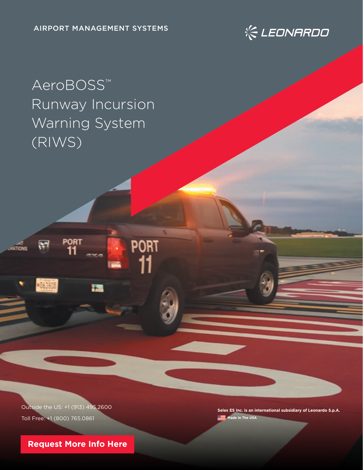

# AeroBOSS™ Runway Incursion Warning System (RIWS)

Outside the US: +1 (913) 495.2600 Toll Free: +1 (800) 765.0861

**PORT** 

**PORT** 

**Selex ES Inc. is an international subsidiary of Leonardo S.p.A. Made In The USA** 

**[Request More Info Here](https://www.leonardocompany-us.com/atm-qr-aeroboss-info-request-0-0)**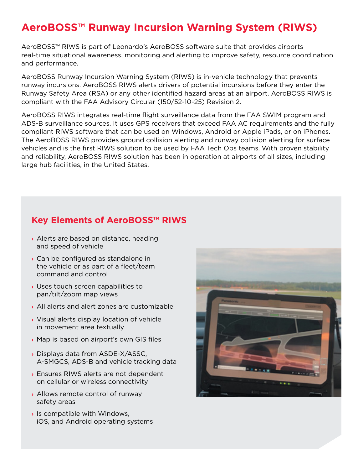## **AeroBOSS™ Runway Incursion Warning System (RIWS)**

AeroBOSS™ RIWS is part of Leonardo's AeroBOSS software suite that provides airports real-time situational awareness, monitoring and alerting to improve safety, resource coordination and performance.

AeroBOSS Runway Incursion Warning System (RIWS) is in-vehicle technology that prevents runway incursions. AeroBOSS RIWS alerts drivers of potential incursions before they enter the Runway Safety Area (RSA) or any other identified hazard areas at an airport. AeroBOSS RIWS is compliant with the FAA Advisory Circular (150/52-10-25) Revision 2.

AeroBOSS RIWS integrates real-time flight surveillance data from the FAA SWIM program and ADS-B surveillance sources. It uses GPS receivers that exceed FAA AC requirements and the fully compliant RIWS software that can be used on Windows, Android or Apple iPads, or on iPhones. The AeroBOSS RIWS provides ground collision alerting and runway collision alerting for surface vehicles and is the first RIWS solution to be used by FAA Tech Ops teams. With proven stability and reliability, AeroBOSS RIWS solution has been in operation at airports of all sizes, including large hub facilities, in the United States.

#### **Key Elements of AeroBOSS™ RIWS**

- **›** Alerts are based on distance, heading and speed of vehicle
- **›** Can be configured as standalone in the vehicle or as part of a fleet/team command and control
- **›** Uses touch screen capabilities to pan/tilt/zoom map views
- **›** All alerts and alert zones are customizable
- **›** Visual alerts display location of vehicle in movement area textually
- **›** Map is based on airport's own GIS files
- **›** Displays data from ASDE-X/ASSC, A-SMGCS, ADS-B and vehicle tracking data
- **›** Ensures RIWS alerts are not dependent on cellular or wireless connectivity
- **›** Allows remote control of runway safety areas
- **›** Is compatible with Windows, iOS, and Android operating systems

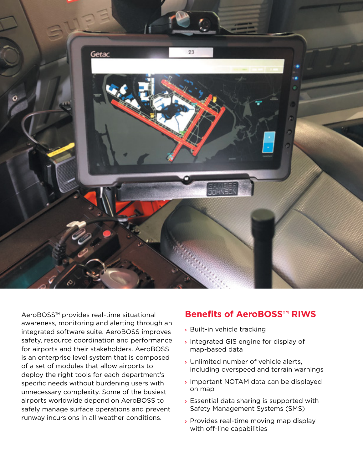

AeroBOSS™ provides real-time situational awareness, monitoring and alerting through an integrated software suite. AeroBOSS improves safety, resource coordination and performance for airports and their stakeholders. AeroBOSS is an enterprise level system that is composed of a set of modules that allow airports to deploy the right tools for each department's specific needs without burdening users with unnecessary complexity. Some of the busiest airports worldwide depend on AeroBOSS to safely manage surface operations and prevent runway incursions in all weather conditions.

#### **Benefits of AeroBOSS™ RIWS**

- **›** Built-in vehicle tracking
- **›** Integrated GIS engine for display of map-based data
- **›** Unlimited number of vehicle alerts, including overspeed and terrain warnings
- **›** Important NOTAM data can be displayed on map
- **›** Essential data sharing is supported with Safety Management Systems (SMS)
- **›** Provides real-time moving map display with off-line capabilities